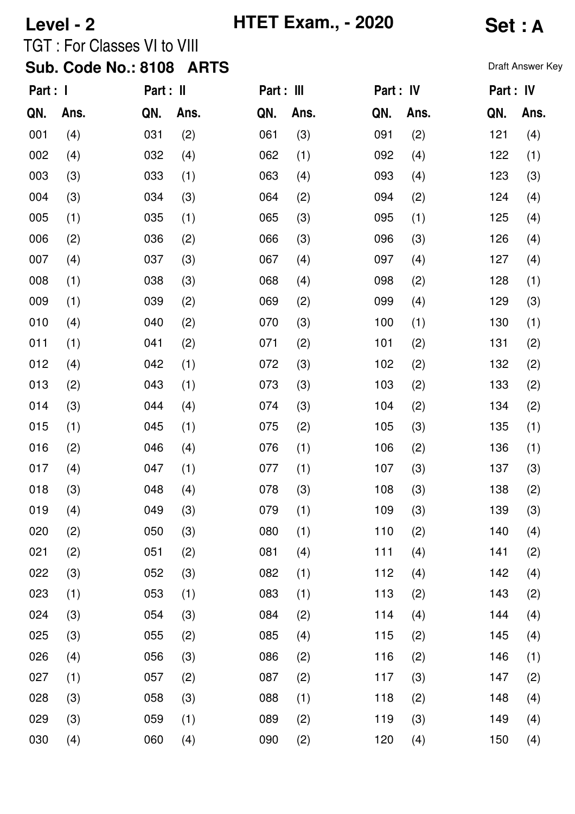| Level - 2                |      |                              |      | <b>HTET Exam., - 2020</b> |      | Set : A   |      |           |                  |  |  |
|--------------------------|------|------------------------------|------|---------------------------|------|-----------|------|-----------|------------------|--|--|
|                          |      | TGT : For Classes VI to VIII |      |                           |      |           |      |           |                  |  |  |
| Sub. Code No.: 8108 ARTS |      |                              |      |                           |      |           |      |           | Draft Answer Key |  |  |
| Part : I                 |      | Part : II                    |      | Part : III                |      | Part : IV |      | Part : IV |                  |  |  |
| QN.                      | Ans. | QN.                          | Ans. | QN.                       | Ans. | QN.       | Ans. | QN.       | Ans.             |  |  |
| 001                      | (4)  | 031                          | (2)  | 061                       | (3)  | 091       | (2)  | 121       | (4)              |  |  |
| 002                      | (4)  | 032                          | (4)  | 062                       | (1)  | 092       | (4)  | 122       | (1)              |  |  |
| 003                      | (3)  | 033                          | (1)  | 063                       | (4)  | 093       | (4)  | 123       | (3)              |  |  |
| 004                      | (3)  | 034                          | (3)  | 064                       | (2)  | 094       | (2)  | 124       | (4)              |  |  |
| 005                      | (1)  | 035                          | (1)  | 065                       | (3)  | 095       | (1)  | 125       | (4)              |  |  |
| 006                      | (2)  | 036                          | (2)  | 066                       | (3)  | 096       | (3)  | 126       | (4)              |  |  |
| 007                      | (4)  | 037                          | (3)  | 067                       | (4)  | 097       | (4)  | 127       | (4)              |  |  |
| 008                      | (1)  | 038                          | (3)  | 068                       | (4)  | 098       | (2)  | 128       | (1)              |  |  |
| 009                      | (1)  | 039                          | (2)  | 069                       | (2)  | 099       | (4)  | 129       | (3)              |  |  |
| 010                      | (4)  | 040                          | (2)  | 070                       | (3)  | 100       | (1)  | 130       | (1)              |  |  |
| 011                      | (1)  | 041                          | (2)  | 071                       | (2)  | 101       | (2)  | 131       | (2)              |  |  |
| 012                      | (4)  | 042                          | (1)  | 072                       | (3)  | 102       | (2)  | 132       | (2)              |  |  |
| 013                      | (2)  | 043                          | (1)  | 073                       | (3)  | 103       | (2)  | 133       | (2)              |  |  |
| 014                      | (3)  | 044                          | (4)  | 074                       | (3)  | 104       | (2)  | 134       | (2)              |  |  |
| 015                      | (1)  | 045                          | (1)  | 075                       | (2)  | 105       | (3)  | 135       | (1)              |  |  |
| 016                      | (2)  | 046                          | (4)  | 076                       | (1)  | 106       | (2)  | 136       | (1)              |  |  |
| 017                      | (4)  | 047                          | (1)  | 077                       | (1)  | 107       | (3)  | 137       | (3)              |  |  |
| 018                      | (3)  | 048                          | (4)  | 078                       | (3)  | 108       | (3)  | 138       | (2)              |  |  |
| 019                      | (4)  | 049                          | (3)  | 079                       | (1)  | 109       | (3)  | 139       | (3)              |  |  |
| 020                      | (2)  | 050                          | (3)  | 080                       | (1)  | 110       | (2)  | 140       | (4)              |  |  |
| 021                      | (2)  | 051                          | (2)  | 081                       | (4)  | 111       | (4)  | 141       | (2)              |  |  |
| 022                      | (3)  | 052                          | (3)  | 082                       | (1)  | 112       | (4)  | 142       | (4)              |  |  |
| 023                      | (1)  | 053                          | (1)  | 083                       | (1)  | 113       | (2)  | 143       | (2)              |  |  |
| 024                      | (3)  | 054                          | (3)  | 084                       | (2)  | 114       | (4)  | 144       | (4)              |  |  |
| 025                      | (3)  | 055                          | (2)  | 085                       | (4)  | 115       | (2)  | 145       | (4)              |  |  |
| 026                      | (4)  | 056                          | (3)  | 086                       | (2)  | 116       | (2)  | 146       | (1)              |  |  |
| 027                      | (1)  | 057                          | (2)  | 087                       | (2)  | 117       | (3)  | 147       | (2)              |  |  |
| 028                      | (3)  | 058                          | (3)  | 088                       | (1)  | 118       | (2)  | 148       | (4)              |  |  |
| 029                      | (3)  | 059                          | (1)  | 089                       | (2)  | 119       | (3)  | 149       | (4)              |  |  |
| 030                      | (4)  | 060                          | (4)  | 090                       | (2)  | 120       | (4)  | 150       | (4)              |  |  |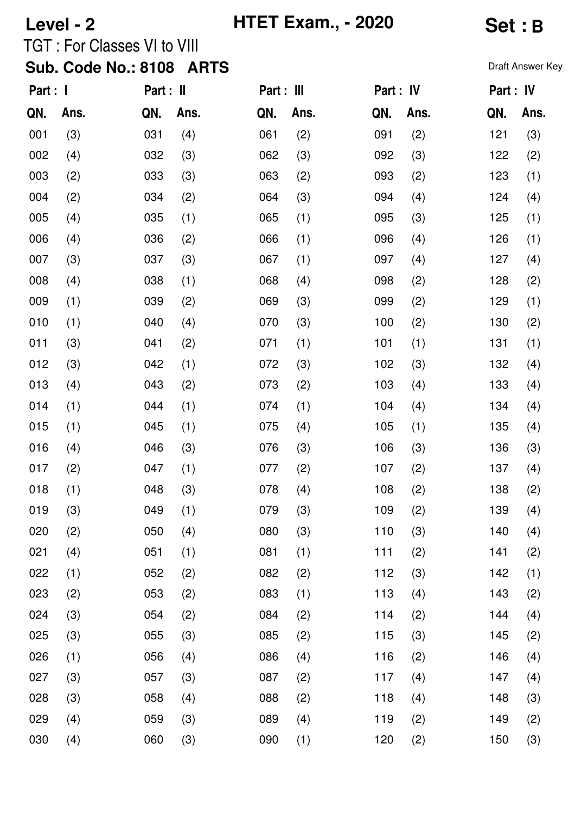| Level - 2                |      |                                    |      |     | <b>HTET Exam., - 2020</b> | <b>Set:B</b> |           |                  |      |  |
|--------------------------|------|------------------------------------|------|-----|---------------------------|--------------|-----------|------------------|------|--|
|                          |      | <b>TGT: For Classes VI to VIII</b> |      |     |                           |              |           |                  |      |  |
| Sub. Code No.: 8108 ARTS |      |                                    |      |     |                           |              |           | Draft Answer Key |      |  |
| Part : I                 |      | Part : II                          |      |     | Part : III                |              | Part : IV | Part: IV         |      |  |
| QN.                      | Ans. | QN.                                | Ans. | QN. | Ans.                      | QN.          | Ans.      | QN.              | Ans. |  |
| 001                      | (3)  | 031                                | (4)  | 061 | (2)                       | 091          | (2)       | 121              | (3)  |  |
| 002                      | (4)  | 032                                | (3)  | 062 | (3)                       | 092          | (3)       | 122              | (2)  |  |
| 003                      | (2)  | 033                                | (3)  | 063 | (2)                       | 093          | (2)       | 123              | (1)  |  |
| 004                      | (2)  | 034                                | (2)  | 064 | (3)                       | 094          | (4)       | 124              | (4)  |  |
| 005                      | (4)  | 035                                | (1)  | 065 | (1)                       | 095          | (3)       | 125              | (1)  |  |
| 006                      | (4)  | 036                                | (2)  | 066 | (1)                       | 096          | (4)       | 126              | (1)  |  |
| 007                      | (3)  | 037                                | (3)  | 067 | (1)                       | 097          | (4)       | 127              | (4)  |  |
| 008                      | (4)  | 038                                | (1)  | 068 | (4)                       | 098          | (2)       | 128              | (2)  |  |
| 009                      | (1)  | 039                                | (2)  | 069 | (3)                       | 099          | (2)       | 129              | (1)  |  |
| 010                      | (1)  | 040                                | (4)  | 070 | (3)                       | 100          | (2)       | 130              | (2)  |  |
| 011                      | (3)  | 041                                | (2)  | 071 | (1)                       | 101          | (1)       | 131              | (1)  |  |
| 012                      | (3)  | 042                                | (1)  | 072 | (3)                       | 102          | (3)       | 132              | (4)  |  |
| 013                      | (4)  | 043                                | (2)  | 073 | (2)                       | 103          | (4)       | 133              | (4)  |  |
| 014                      | (1)  | 044                                | (1)  | 074 | (1)                       | 104          | (4)       | 134              | (4)  |  |
| 015                      | (1)  | 045                                | (1)  | 075 | (4)                       | 105          | (1)       | 135              | (4)  |  |
| 016                      | (4)  | 046                                | (3)  | 076 | (3)                       | 106          | (3)       | 136              | (3)  |  |
| 017                      | (2)  | 047                                | (1)  | 077 | (2)                       | 107          | (2)       | 137              | (4)  |  |
| 018                      | (1)  | 048                                | (3)  | 078 | (4)                       | 108          | (2)       | 138              | (2)  |  |
| 019                      | (3)  | 049                                | (1)  | 079 | (3)                       | 109          | (2)       | 139              | (4)  |  |
| 020                      | (2)  | 050                                | (4)  | 080 | (3)                       | 110          | (3)       | 140              | (4)  |  |
| 021                      | (4)  | 051                                | (1)  | 081 | (1)                       | 111          | (2)       | 141              | (2)  |  |
| 022                      | (1)  | 052                                | (2)  | 082 | (2)                       | 112          | (3)       | 142              | (1)  |  |
| 023                      | (2)  | 053                                | (2)  | 083 | (1)                       | 113          | (4)       | 143              | (2)  |  |
| 024                      | (3)  | 054                                | (2)  | 084 | (2)                       | 114          | (2)       | 144              | (4)  |  |
| 025                      | (3)  | 055                                | (3)  | 085 | (2)                       | 115          | (3)       | 145              | (2)  |  |
| 026                      | (1)  | 056                                | (4)  | 086 | (4)                       | 116          | (2)       | 146              | (4)  |  |
| 027                      | (3)  | 057                                | (3)  | 087 | (2)                       | 117          | (4)       | 147              | (4)  |  |
| 028                      | (3)  | 058                                | (4)  | 088 | (2)                       | 118          | (4)       | 148              | (3)  |  |
| 029                      | (4)  | 059                                | (3)  | 089 | (4)                       | 119          | (2)       | 149              | (2)  |  |
| 030                      | (4)  | 060                                | (3)  | 090 | (1)                       | 120          | (2)       | 150              | (3)  |  |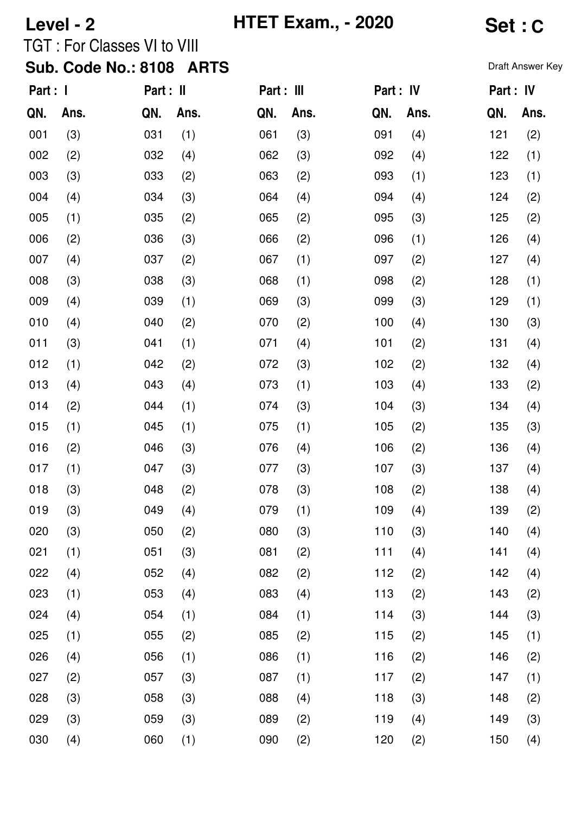| Level - 2             |      |                              |            | <b>HTET Exam., - 2020</b> |           | Set : C   |      |                  |      |  |
|-----------------------|------|------------------------------|------------|---------------------------|-----------|-----------|------|------------------|------|--|
|                       |      | TGT : For Classes VI to VIII |            |                           |           |           |      |                  |      |  |
|                       |      | Sub. Code No.: 8108 ARTS     |            |                           |           |           |      | Draft Answer Key |      |  |
| Part : I<br>Part : II |      |                              | Part : III |                           | Part : IV | Part : IV |      |                  |      |  |
| QN.                   | Ans. | QN.                          | Ans.       | QN.                       | Ans.      | QN.       | Ans. | QN.              | Ans. |  |
| 001                   | (3)  | 031                          | (1)        | 061                       | (3)       | 091       | (4)  | 121              | (2)  |  |
| 002                   | (2)  | 032                          | (4)        | 062                       | (3)       | 092       | (4)  | 122              | (1)  |  |
| 003                   | (3)  | 033                          | (2)        | 063                       | (2)       | 093       | (1)  | 123              | (1)  |  |
| 004                   | (4)  | 034                          | (3)        | 064                       | (4)       | 094       | (4)  | 124              | (2)  |  |
| 005                   | (1)  | 035                          | (2)        | 065                       | (2)       | 095       | (3)  | 125              | (2)  |  |
| 006                   | (2)  | 036                          | (3)        | 066                       | (2)       | 096       | (1)  | 126              | (4)  |  |
| 007                   | (4)  | 037                          | (2)        | 067                       | (1)       | 097       | (2)  | 127              | (4)  |  |
| 008                   | (3)  | 038                          | (3)        | 068                       | (1)       | 098       | (2)  | 128              | (1)  |  |
| 009                   | (4)  | 039                          | (1)        | 069                       | (3)       | 099       | (3)  | 129              | (1)  |  |
| 010                   | (4)  | 040                          | (2)        | 070                       | (2)       | 100       | (4)  | 130              | (3)  |  |
| 011                   | (3)  | 041                          | (1)        | 071                       | (4)       | 101       | (2)  | 131              | (4)  |  |
| 012                   | (1)  | 042                          | (2)        | 072                       | (3)       | 102       | (2)  | 132              | (4)  |  |
| 013                   | (4)  | 043                          | (4)        | 073                       | (1)       | 103       | (4)  | 133              | (2)  |  |
| 014                   | (2)  | 044                          | (1)        | 074                       | (3)       | 104       | (3)  | 134              | (4)  |  |
| 015                   | (1)  | 045                          | (1)        | 075                       | (1)       | 105       | (2)  | 135              | (3)  |  |
| 016                   | (2)  | 046                          | (3)        | 076                       | (4)       | 106       | (2)  | 136              | (4)  |  |
| 017                   | (1)  | 047                          | (3)        | 077                       | (3)       | 107       | (3)  | 137              | (4)  |  |
| 018                   | (3)  | 048                          | (2)        | 078                       | (3)       | 108       | (2)  | 138              | (4)  |  |
| 019                   | (3)  | 049                          | (4)        | 079                       | (1)       | 109       | (4)  | 139              | (2)  |  |
| 020                   | (3)  | 050                          | (2)        | 080                       | (3)       | 110       | (3)  | 140              | (4)  |  |
| 021                   | (1)  | 051                          | (3)        | 081                       | (2)       | 111       | (4)  | 141              | (4)  |  |
| 022                   | (4)  | 052                          | (4)        | 082                       | (2)       | 112       | (2)  | 142              | (4)  |  |
| 023                   | (1)  | 053                          | (4)        | 083                       | (4)       | 113       | (2)  | 143              | (2)  |  |
| 024                   | (4)  | 054                          | (1)        | 084                       | (1)       | 114       | (3)  | 144              | (3)  |  |
| 025                   | (1)  | 055                          | (2)        | 085                       | (2)       | 115       | (2)  | 145              | (1)  |  |
| 026                   | (4)  | 056                          | (1)        | 086                       | (1)       | 116       | (2)  | 146              | (2)  |  |
| 027                   | (2)  | 057                          | (3)        | 087                       | (1)       | 117       | (2)  | 147              | (1)  |  |
| 028                   | (3)  | 058                          | (3)        | 088                       | (4)       | 118       | (3)  | 148              | (2)  |  |
| 029                   | (3)  | 059                          | (3)        | 089                       | (2)       | 119       | (4)  | 149              | (3)  |  |
| 030                   | (4)  | 060                          | (1)        | 090                       | (2)       | 120       | (2)  | 150              | (4)  |  |